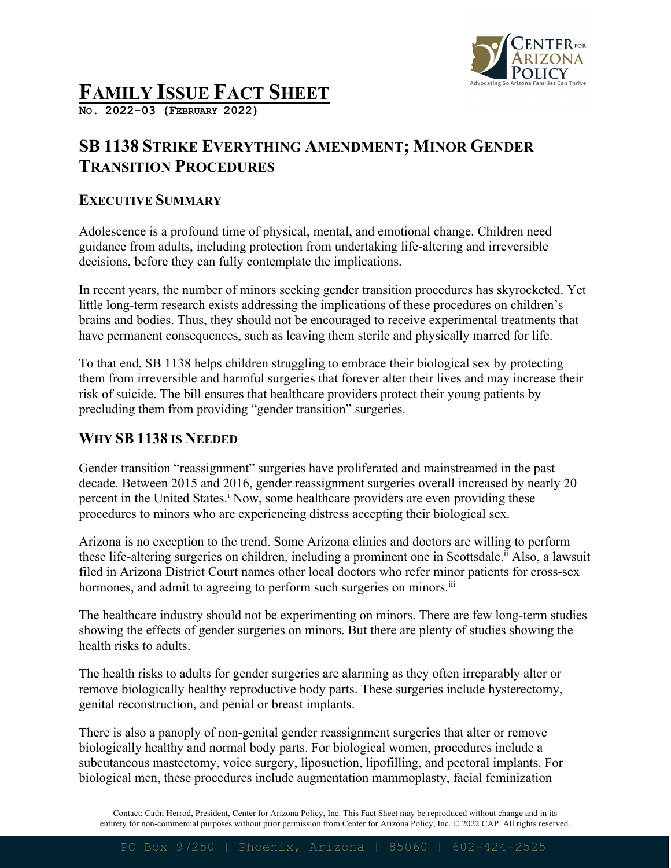

# **FAMILY ISSUE FACT SHEET**

**NO. 2022-03 (FEBRUARY 2022)**

## **SB 1138 STRIKE EVERYTHING AMENDMENT; MINOR GENDER TRANSITION PROCEDURES**

#### **EXECUTIVE SUMMARY**

Adolescence is a profound time of physical, mental, and emotional change. Children need guidance from adults, including protection from undertaking life-altering and irreversible decisions, before they can fully contemplate the implications.

In recent years, the number of minors seeking gender transition procedures has skyrocketed. Yet little long-term research exists addressing the implications of these procedures on children's brains and bodies. Thus, they should not be encouraged to receive experimental treatments that have permanent consequences, such as leaving them sterile and physically marred for life.

To that end, SB 1138 helps children struggling to embrace their biological sex by protecting them from irreversible and harmful surgeries that forever alter their lives and may increase their risk of suicide. The bill ensures that healthcare providers protect their young patients by precluding them from providing "gender transition" surgeries.

#### **WHY SB 1138 IS NEEDED**

Gender transition "reassignment" surgeries have proliferated and mainstreamed in the past decade. Between 2015 and 2016, gender reassignment surgeries overall increased by nearly 20 percent in the United States.<sup>1</sup> Now, some healthcare providers are even providing these procedures to minors who are experiencing distress accepting their biological sex.

Arizona is no exception to the trend. Some Arizona clinics and doctors are willing to perform these life-altering surgeries on children, including a prominent one in Scottsdale.<sup>ii</sup> Also, a lawsuit filed in Arizona District Court names other local doctors who refer minor patients for cross-sex hormones, and admit to agreeing to perform such surgeries on minors.<sup>iii</sup>

The healthcare industry should not be experimenting on minors. There are few long-term studies showing the effects of gender surgeries on minors. But there are plenty of studies showing the health risks to adults.

The health risks to adults for gender surgeries are alarming as they often irreparably alter or remove biologically healthy reproductive body parts. These surgeries include hysterectomy, genital reconstruction, and penial or breast implants.

There is also a panoply of non-genital gender reassignment surgeries that alter or remove biologically healthy and normal body parts. For biological women, procedures include a subcutaneous mastectomy, voice surgery, liposuction, lipofilling, and pectoral implants. For biological men, these procedures include augmentation mammoplasty, facial feminization

Contact: Cathi Herrod, President, Center for Arizona Policy, Inc. This Fact Sheet may be reproduced without change and in its entirety for non-commercial purposes without prior permission from Center for Arizona Policy, Inc. © 2022 CAP. All rights reserved.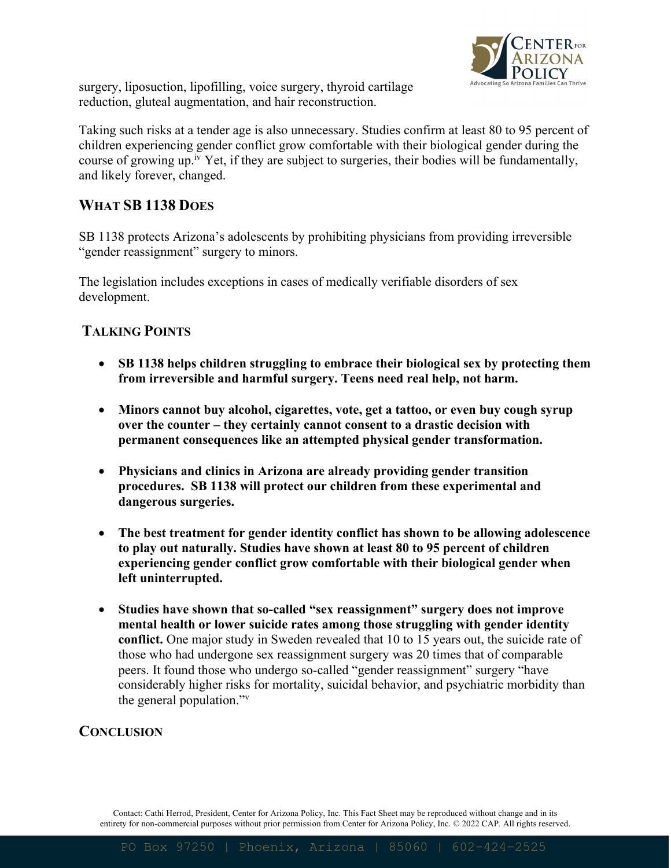

surgery, liposuction, lipofilling, voice surgery, thyroid cartilage reduction, gluteal augmentation, and hair reconstruction.

Taking such risks at a tender age is also unnecessary. Studies confirm at least 80 to 95 percent of children experiencing gender conflict grow comfortable with their biological gender during the course of growing up.<sup>iv</sup> Yet, if they are subject to surgeries, their bodies will be fundamentally, and likely forever, changed.

#### **WHAT SB 1138 DOES**

SB 1138 protects Arizona's adolescents by prohibiting physicians from providing irreversible "gender reassignment" surgery to minors.

The legislation includes exceptions in cases of medically verifiable disorders of sex development.

#### **TALKING POINTS**

- **SB 1138 helps children struggling to embrace their biological sex by protecting them from irreversible and harmful surgery. Teens need real help, not harm.**
- **Minors cannot buy alcohol, cigarettes, vote, get a tattoo, or even buy cough syrup over the counter – they certainly cannot consent to a drastic decision with permanent consequences like an attempted physical gender transformation.**
- **Physicians and clinics in Arizona are already providing gender transition procedures. SB 1138 will protect our children from these experimental and dangerous surgeries.**
- **The best treatment for gender identity conflict has shown to be allowing adolescence to play out naturally. Studies have shown at least 80 to 95 percent of children experiencing gender conflict grow comfortable with their biological gender when left uninterrupted.**
- **Studies have shown that so-called "sex reassignment" surgery does not improve mental health or lower suicide rates among those struggling with gender identity conflict.** One major study in Sweden revealed that 10 to 15 years out, the suicide rate of those who had undergone sex reassignment surgery was 20 times that of comparable peers. It found those who undergo so-called "gender reassignment" surgery "have considerably higher risks for mortality, suicidal behavior, and psychiatric morbidity than the general population."v

### **CONCLUSION**

Contact: Cathi Herrod, President, Center for Arizona Policy, Inc. This Fact Sheet may be reproduced without change and in its entirety for non-commercial purposes without prior permission from Center for Arizona Policy, Inc. © 2022 CAP. All rights reserved.